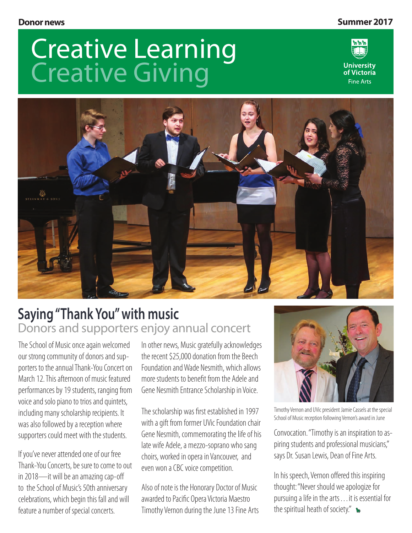#### **Donor news Summer 2017**

# Creative Learning Creative Giving





### **Saying "Thank You" with music** Donors and supporters enjoy annual concert

The School of Music once again welcomed our strong community of donors and supporters to the annual Thank-You Concert on March 12. This afternoon of music featured performances by 19 students, ranging from voice and solo piano to trios and quintets, including many scholarship recipients. It was also followed by a reception where supporters could meet with the students.

If you've never attended one of our free Thank-You Concerts, be sure to come to out in 2018—it will be an amazing cap-off to the School of Music's 50th anniversary celebrations, which begin this fall and will feature a number of special concerts.

In other news, Music gratefully acknowledges the recent \$25,000 donation from the Beech Foundation and Wade Nesmith, which allows more students to benefit from the Adele and Gene Nesmith Entrance Scholarship in Voice.

The scholarship was first established in 1997 with a gift from former UVic Foundation chair Gene Nesmith, commemorating the life of his late wife Adele, a mezzo-soprano who sang choirs, worked in opera in Vancouver, and even won a CBC voice competition.

Also of note is the Honorary Doctor of Music awarded to Pacific Opera Victoria Maestro Timothy Vernon during the June 13 Fine Arts



Timothy Vernon and UVic president Jamie Cassels at the special School of Music reception following Vernon's award in June

Convocation. "Timothy is an inspiration to aspiring students and professional musicians," says Dr. Susan Lewis, Dean of Fine Arts.

In his speech, Vernon offered this inspiring thought: "Never should we apologize for pursuing a life in the arts . . . it is essential for the spiritual heath of society."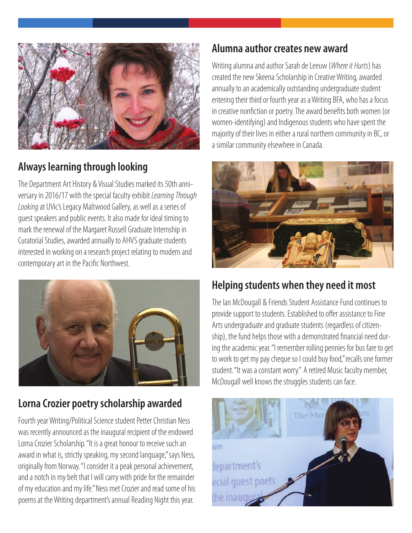

#### **Always learning through looking**

The Department Art History & Visual Studies marked its 50th anniversary in 2016/17 with the special faculty exhibit *Learning Through Looking* at UVic's Legacy Maltwood Gallery, as well as a series of guest speakers and public events. It also made for ideal timing to mark the renewal of the Margaret Russell Graduate Internship in Curatorial Studies, awarded annually to AHVS graduate students interested in working on a research project relating to modern and contemporary art in the Pacific Northwest.



#### **Lorna Crozier poetry scholarship awarded**

Fourth year Writing/Political Science student Petter Christian Ness was recently announced as the inaugural recipient of the endowed Lorna Crozier Scholarship. "It is a great honour to receive such an award in what is, strictly speaking, my second language," says Ness, originally from Norway. "I consider it a peak personal achievement, and a notch in my belt that I will carry with pride for the remainder of my education and my life." Ness met Crozier and read some of his poems at the Writing department's annual Reading Night this year.

#### **Alumna author creates new award**

Writing alumna and author Sarah de Leeuw (*Where it Hurts*) has created the new Skeena Scholarship in Creative Writing, awarded annually to an academically outstanding undergraduate student entering their third or fourth year as a Writing BFA, who has a focus in creative nonfiction or poetry. The award benefits both women (or women-identifying) and Indigenous students who have spent the majority of their lives in either a rural northern community in BC, or a similar community elsewhere in Canada.



#### **Helping students when they need it most**

The Ian McDougall & Friends Student Assistance Fund continues to provide support to students. Established to offer assistance to Fine Arts undergraduate and graduate students (regardless of citizenship), the fund helps those with a demonstrated financial need during the academic year. "I remember rolling pennies for bus fare to get to work to get my pay cheque so I could buy food," recalls one former student. "It was a constant worry." A retired Music faculty member, McDougall well knows the struggles students can face.

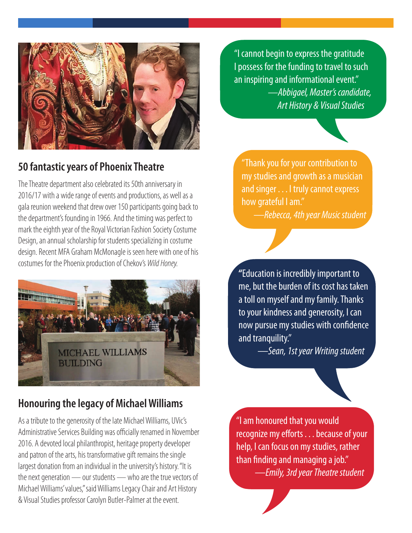

#### **50 fantastic years of Phoenix Theatre**

The Theatre department also celebrated its 50th anniversary in 2016/17 with a wide range of events and productions, as well as a gala reunion weekend that drew over 150 participants going back to the department's founding in 1966. And the timing was perfect to mark the eighth year of the Royal Victorian Fashion Society Costume Design, an annual scholarship for students specializing in costume design. Recent MFA Graham McMonagle is seen here with one of his costumes for the Phoenix production of Chekov's *Wild Honey.* 



#### **Honouring the legacy of Michael Williams**

As a tribute to the generosity of the late Michael Williams, UVic's Administrative Services Building was officially renamed in November 2016. A devoted local philanthropist, heritage property developer and patron of the arts, his transformative gift remains the single largest donation from an individual in the university's history. "It is the next generation — our students — who are the true vectors of Michael Williams' values," said Williams Legacy Chair and Art History & Visual Studies professor Carolyn Butler-Palmer at the event.

"I cannot begin to express the gratitude I possess for the funding to travel to such an inspiring and informational event." *—Abbigael, Master's candidate, Art History & Visual Studies*

"Thank you for your contribution to my studies and growth as a musician and singer . . . I truly cannot express how grateful I am."

*—Rebecca, 4th year Music student*

**"**Education is incredibly important to me, but the burden of its cost has taken a toll on myself and my family. Thanks to your kindness and generosity, I can now pursue my studies with confidence and tranquility."

 *—Sean, 1st year Writing student*

"I am honoured that you would recognize my efforts . . . because of your help, I can focus on my studies, rather than finding and managing a job."

*—Emily, 3rd year Theatre student*